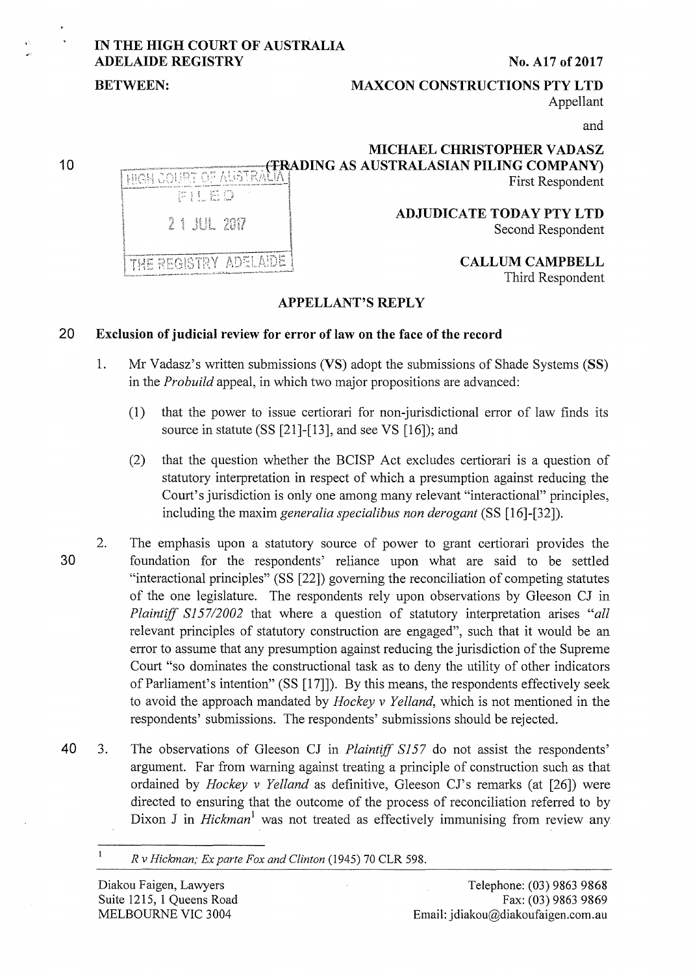# **IN THE HIGH COURT OF AUSTRALIA ADELAIDE REGISTRY** No. A17 of 2017

### **BETWEEN:** MAXCON CONSTRUCTIONS PTY LTD Appellant

and

## **MICHAEL CHRISTOPHER V ADASZ ATRADING AS AUSTRALASIAN PILING COMPANY** First Respondent

**ADJUDICATE TODAY PTY LTD**  Second Respondent

> **CALLUM CAMPBELL**  Third Respondent

# **APPELLANT'S REPLY**

### **20 Exclusion of judicial review for error of law on the face of the record**

- 1. Mr Vadasz' s written submissions **(VS)** adopt the submissions of Shade Systems **(SS)**  in the *Probuild* appeal, in which two major propositions are advanced:
	- **(1)** that the power to issue certiorari for non-jurisdictional error of law finds its source in statute (SS [21]-[13], and see VS [16]); and
	- (2) that the question whether the BCISP Act excludes certiorari is a question of statutory interpretation in respect of which a presumption against reducing the Court's jurisdiction is only one among many relevant "interactional" principles, including the maxim *generalia specialibus non derogant* (SS [16]-[32]).
- 2. The emphasis upon a statutory source of power to grant certiorari provides the **30** foundation for the respondents' reliance upon what are said to be settled "interactional principles" (SS [22]) governing the reconciliation of competing statutes of the one legislature. The respondents rely upon observations by Gleeson CJ in *Plaintiff SJ57/2002* that where a question of statutory interpretation arises *"all*  relevant principles of statutory construction are engaged", such that it would be an error to assume that any presumption against reducing the jurisdiction of the Supreme Court "so dominates the constructional task as to deny the utility of other indicators of Parliament's intention" (SS [17]]). By this means, the respondents effectively seek to avoid the approach mandated by *Hockey v Yelland,* which is not mentioned in the respondents' submissions. The respondents' submissions should be rejected.
- 40 <sup>3</sup>. The observations of Gleeson CJ in *Plaintiff S157* do not assist the respondents' argument. Far from warning against treating a principle of construction such as that ordained by *Hockey v Yelland* as definitive, Gleeson CJ's remarks (at [26]) were directed to ensuring that the outcome of the process of reconciliation referred to by Dixon J in *Hickman*<sup>1</sup> was not treated as effectively immunising from review any

*R v Hickman; Ex parte Fox and Clinton* (1945) 70 CLR 598.

 $\mathbf{1}$ 

PILED 2 1 AUL 207

**HIGH COURT OF AUSTRA** 



**10**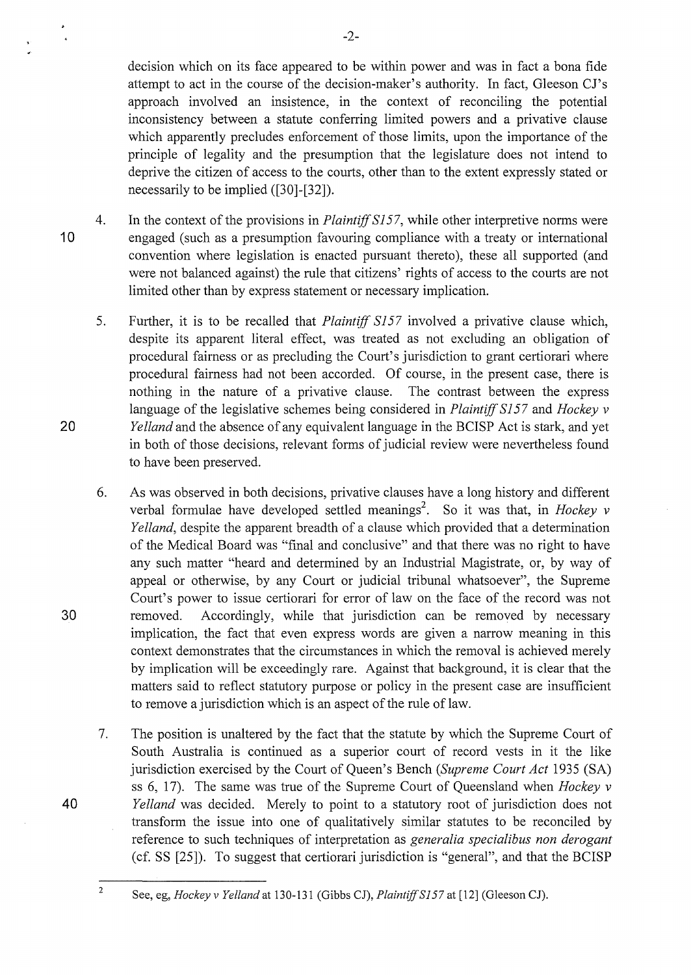decision which on its face appeared to be within power and was in fact a bona fide attempt to act in the course of the decision-maker's authority. In fact, Gleeson CJ's approach involved an insistence, in the context of reconciling the potential inconsistency between a statute conferring limited powers and a privative clause which apparently precludes enforcement of those limits, upon the importance of the principle of legality and the presumption that the legislature does not intend to deprive the citizen of access to the courts, other than to the extent expressly stated or necessarily to be implied ([30]-[32]).

-2-

- 4. 10 In the context of the provisions in *Plaintiff SI 57,* while other interpretive norms were engaged (such as a presumption favouring compliance with a treaty or international convention where legislation is enacted pursuant thereto), these all supported (and were not balanced against) the rule that citizens' rights of access to the courts are not limited other than by express statement or necessary implication.
	- 5. Further, it is to be recalled that *Plaintiff S157* involved a privative clause which, despite its apparent literal effect, was treated as not excluding an obligation of procedural fairness or as precluding the Court's jurisdiction to grant certiorari where procedural fairness had not been accorded. Of course, in the present case, there is nothing in the nature of a privative clause. The contrast between the express language of the legislative schemes being considered in *Plaintiff SI 57* and *Hockey v Yelland* and the absence of any equivalent language in the BCISP Act is stark, and yet in both of those decisions, relevant forms of judicial review were nevertheless found to have been preserved.
	- 6. As was observed in both decisions, privative clauses have a long history and different verbal formulae have developed settled meanings<sup>2</sup>. So it was that, in *Hockey v Yelland,* despite the apparent breadth of a clause which provided that a determination of the Medical Board was "final and conclusive" and that there was no right to have any such matter "heard and determined by an Industrial Magistrate, or, by way of appeal or otherwise, by any Court or judicial tribunal whatsoever", the Supreme Court's power to issue certiorari for error of law on the face of the record was not removed. Accordingly, while that jurisdiction can be removed by necessary implication, the fact that even express words are given a narrow meaning in this context demonstrates that the circumstances in which the removal is achieved merely by implication will be exceedingly rare. Against that background, it is clear that the matters said to reflect statutory purpose or policy in the present case are insufficient to remove a jurisdiction which is an aspect of the rule of law.
	- 7. The position is unaltered by the fact that the statute by which the Supreme Court of South Australia is continued as a superior court of record vests in it the like jurisdiction exercised by the Court of Queen's Bench *(Supreme Court Act* 1935 (SA) ss 6, 17). The same was true of the Supreme Court of Queensland when *Hockey v Yelland* was decided. Merely to point to a statutory root of jurisdiction does not transform the issue into one of qualitatively similar statutes to be reconciled by reference to such techniques of interpretation as *generalia specialibus non derogant*  (cf. SS [25]). To suggest that certiorari jurisdiction is "general", and that the BCISP
		- See, eg, *Hockey v Yelland* at 130-131 (Gibbs CJ), *Plaintiff S157* at [12] (Gleeson CJ).

20

30

40

2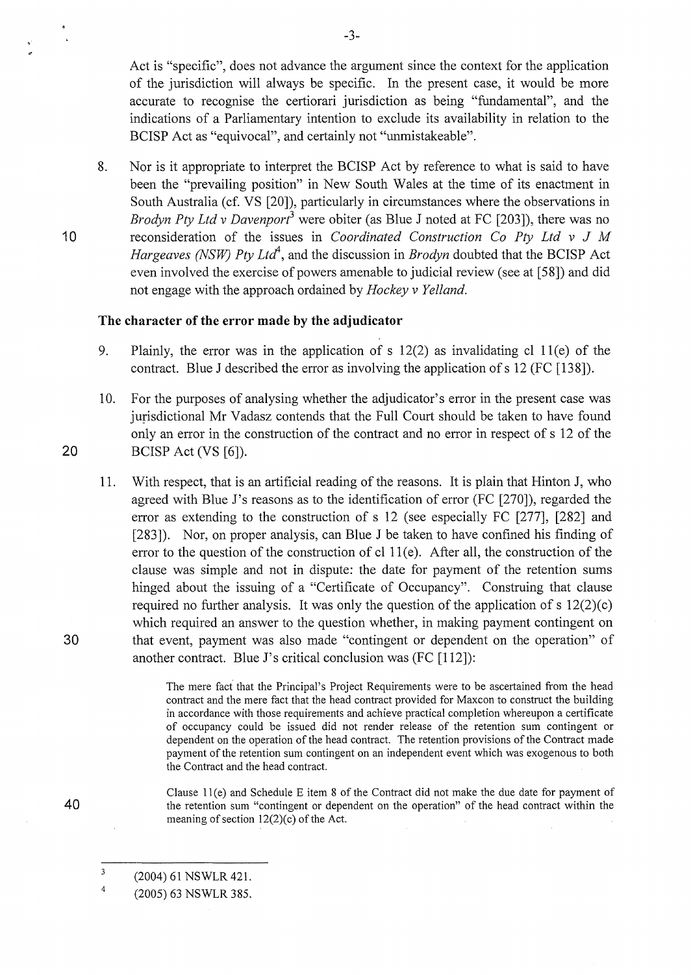Act is "specific", does not advance the argument since the context for the application of the jurisdiction will always be specific. In the present case, it would be more accurate to recognise the certiorari jurisdiction as being "fundamental", and the indications of a Parliamentary intention to exclude its availability in relation to the BCISP Act as "equivocal", and certainly not "unmistakeable".

8. Nor is it appropriate to interpret the BCISP Act by reference to what is said to have been the "prevailing position" in New South Wales at the time of its enactment in South Australia (cf. VS [20]), particularly in circumstances where the observations in *Brodyn Pty Ltd y Davenport<sup>3</sup>* were obiter (as Blue J noted at FC [203]), there was no reconsideration of the issues in *Coordinated Construction Co Pty Ltd v* J *M Hargeaves (NSW) Ptv Ltd<sup>4</sup>*, and the discussion in *Brodyn* doubted that the BCISP Act even involved the exercise of powers amenable to judicial review (see at [58]) and did not engage with the approach ordained by *Hockey v Yelland.* 

### **The character of the error made by the adjudicator**

- 9. Plainly, the error was in the application of s 12(2) as invalidating cl 11(e) of the contract. Blue J described the error as involving the application of s 12 (FC [138]).
- 10. For the purposes of analysing whether the adjudicator's error in the present case was jurisdictional Mr Vadasz contends that the Full Court should be taken to have found only an error in the construction of the contract and no error in respect of s 12 of the 20 BCISP Act (VS [6]).
- 11. With respect, that is an artificial reading of the reasons. It is plain that Hinton J, who agreed with Blue J's reasons as to the identification of error (FC [270]), regarded the error as extending to the construction of s 12 (see especially FC [277], [282] and [283]). Nor, on proper analysis, can Blue J be taken to have confined his finding of error to the question of the construction of cl  $11(e)$ . After all, the construction of the clause was simple and not in dispute: the date for payment of the retention sums hinged about the issuing of a "Certificate of Occupancy". Construing that clause required no further analysis. It was only the question of the application of s  $12(2)(c)$ which required an answer to the question whether, in making payment contingent on 30 that event, payment was also made "contingent or dependent on the operation" of another contract. Blue J's critical conclusion was (FC [112]):

The mere fact that the Principal's Project Requirements were to be ascertained from the head contract and the mere fact that the head contract provided for Maxcon to construct the building in accordance with those requirements and achieve practical completion whereupon a certificate of occupancy could be issued did not render release of the retention sum contingent or dependent on the operation of the head contract. The retention provisions of the Contract made payment of the retention sum contingent on an independent event which was exogenous to both the Contract and the head contract.

Clause 11 (e) and Schedule E item 8 of the Contract did not make the due date for payment of the retention sum "contingent or dependent on the operation" of the head contract within the meaning of section  $12(2)(c)$  of the Act.

-3-

10

40

<sup>3</sup>  (2004) 61 NSWLR 421.

<sup>4</sup>  (2005) 63 NSWLR 385.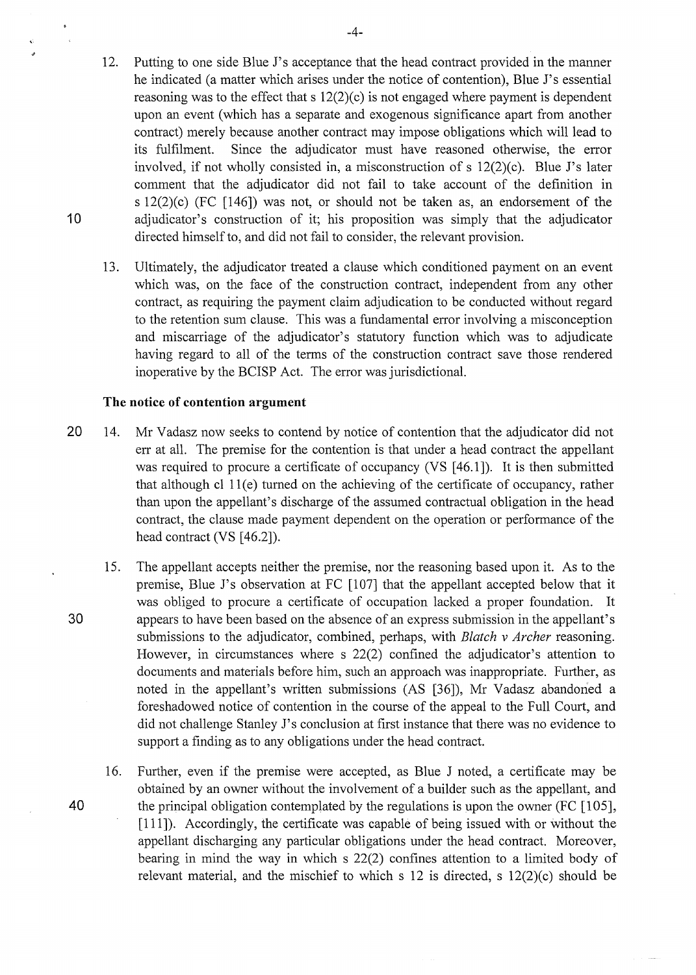- 12. Putting to one side Blue J's acceptance that the head contract provided in the manner he indicated (a matter which arises under the notice of contention), Blue J's essential reasoning was to the effect that s 12(2)(c) is not engaged where payment is dependent upon an event (which has a separate and exogenous significance apart from another contract) merely because another contract may impose obligations which will lead to its fulfilment. Since the adjudicator must have reasoned otherwise, the error involved, if not wholly consisted in, a misconstruction of s 12(2)(c). Blue J's later comment that the adjudicator did not fail to take account of the definition in s 12(2)(c) (FC [146]) was not, or should not be taken as, an endorsement of the 10 adjudicator's construction of it; his proposition was simply that the adjudicator directed himself to, and did not fail to consider, the relevant provision.
	- 13. Ultimately, the adjudicator treated a clause which conditioned payment on an event which was, on the face of the construction contract, independent from any other contract, as requiring the payment claim adjudication to be conducted without regard to the retention sum clause. This was a fundamental error involving a misconception and miscarriage of the adjudicator's statutory function which was to adjudicate having regard to all of the terms of the construction contract save those rendered inoperative by the BCISP Act. The error was jurisdictional.

#### **The notice of contention argument**

- 20 14. Mr Vadasz now seeks to contend by notice of contention that the adjudicator did not err at all. The premise for the contention is that under a head contract the appellant was required to procure a certificate of occupancy (VS [46.1]). It is then submitted that although cl 11 (e) tumed on the achieving of the certificate of occupancy, rather than upon the appellant's discharge of the assumed contractual obligation in the head contract, the clause made payment dependent on the operation or performance of the head contract (VS [46.2]).
- 15. The appellant accepts neither the premise, nor the reasoning based upon it. As to the premise, Blue J's observation at FC [107] that the appellant accepted below that it was obliged to procure a certificate of occupation lacked a proper foundation. It 30 appears to have been based on the absence of an express submission in the appellant's submissions to the adjudicator, combined, perhaps, with *Blatch v Archer* reasoning. However, in circumstances where s 22(2) confined the adjudicator's attention to documents and materials before him, such an approach was inappropriate. Further, as noted in the appellant's written submissions (AS [36]), Mr Vadasz abandoned a foreshadowed notice of contention in the course of the appeal to the Full Court, and did not challenge Stanley J's conclusion at first instance that there was no evidence to support a finding as to any obligations under the head contract.
- 16. Further, even if the premise were accepted, as Blue J noted, a certificate may be obtained by an owner without the involvement of a builder such as the appellant, and 40 the principal obligation contemplated by the regulations is upon the owner (FC [105], [111]). Accordingly, the certificate was capable of being issued with or without the appellant discharging any particular obligations under the head contract. Moreover, bearing in mind the way in which s 22(2) confines attention to a limited body of relevant material, and the mischief to which s 12 is directed, s 12(2)(c) should be